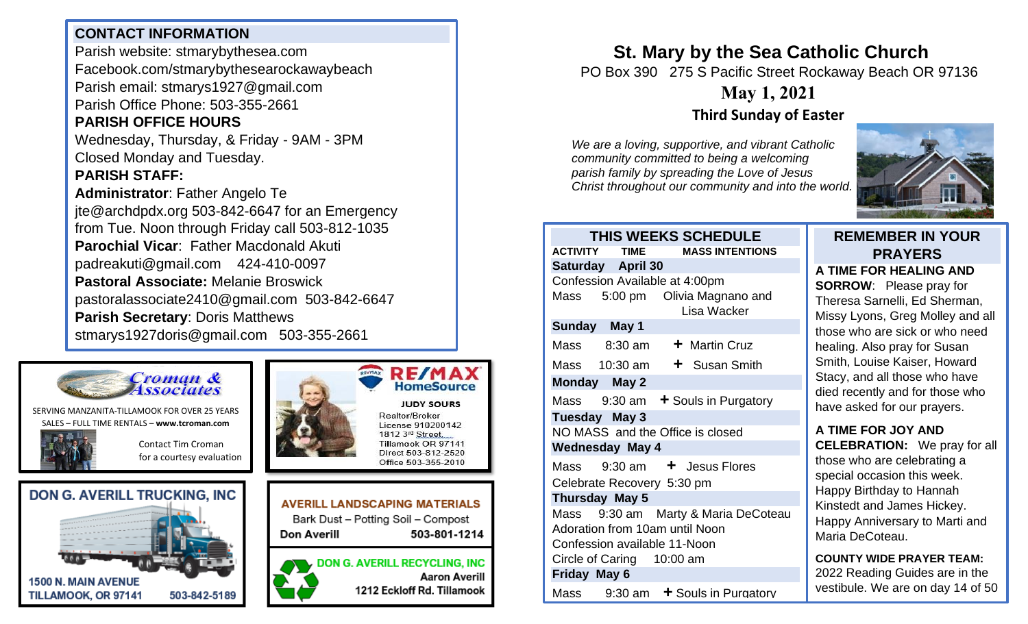#### **CONTACT INFORMATION**

Parish website: stmarybythesea.com Facebook.com/stmarybythesearockawaybeach Parish email: stmarys1927@gmail.com Parish Office Phone: 503-355-2661

### **PARISH OFFICE HOURS**

Wednesday, Thursday, & Friday - 9AM - 3PM Closed Monday and Tuesday.

#### **PARISH STAFF:**

**Administrator**: Father Angelo Te jte@archdpdx.org 503-842-6647 for an Emergency from Tue. Noon through Friday call 503-812-1035 **Parochial Vicar**: Father Macdonald Akuti padreakuti@gmail.com 424-410-0097 **Pastoral Associate:** Melanie Broswick pastoralassociate2410@gmail.com 503-842-6647 **Parish Secretary**: Doris Matthews stmarys1927doris@gmail.com 503-355-2661



SERVING MANZANITA-TILLAMOOK FOR OVER 25 YEARS SALES – FULL TIME RENTALS – **[www.tcroman.com](http://www.tcroman.com/)**

> Contact Tim Croman for a courtesy evaluation

**503-812-2483**







**RE/MA HomeSource JUDY SOURS** Realtor/Broker License 910200142 1812 3rd Street, Tillamook OR 97141 Direct 503-812-2520



# **St. Mary by the Sea Catholic Church**

PO Box 390 275 S Pacific Street Rockaway Beach OR 97136

## **May 1, 2021**

### **Third Sunday of Easter**

*We are a loving, supportive, and vibrant Catholic community committed to being a welcoming parish family by spreading the Love of Jesus Christ throughout our community and into the world.*



| <b>THIS WEEKS SCHEDULE</b>       |                           |                                                |
|----------------------------------|---------------------------|------------------------------------------------|
| <b>ACTIVITY</b>                  | <b>TIME</b>               | <b>MASS INTENTIONS</b>                         |
|                                  | Saturday April 30         |                                                |
| Confession Available at 4:00pm   |                           |                                                |
|                                  |                           | Mass 5:00 pm Olivia Magnano and<br>Lisa Wacker |
| Sunday May 1                     |                           |                                                |
|                                  | Mass 8:30 am              | + Martin Cruz                                  |
|                                  |                           | Mass $10:30$ am $\div$ Susan Smith             |
| Monday May 2                     |                           |                                                |
|                                  |                           | Mass $9:30$ am $\div$ Souls in Purgatory       |
| Tuesday May 3                    |                           |                                                |
| NO MASS and the Office is closed |                           |                                                |
| <b>Wednesday May 4</b>           |                           |                                                |
|                                  |                           | Mass $9:30 \text{ am}$ + Jesus Flores          |
| Celebrate Recovery 5:30 pm       |                           |                                                |
| Thursday May 5                   |                           |                                                |
| Mass                             |                           | 9:30 am Marty & Maria DeCoteau                 |
| Adoration from 10am until Noon   |                           |                                                |
| Confession available 11-Noon     |                           |                                                |
|                                  | Circle of Caring 10:00 am |                                                |
| Friday May 6                     |                           |                                                |
|                                  |                           | Mass $9:30$ am $\div$ Souls in Purgatory       |

#### **REMEMBER IN YOUR PRAYERS**

**A TIME FOR HEALING AND SORROW**: Please pray for Theresa Sarnelli, Ed Sherman, Missy Lyons, Greg Molley and all those who are sick or who need healing. Also pray for Susan Smith, Louise Kaiser, Howard Stacy, and all those who have died recently and for those who have asked for our prayers.

#### **A TIME FOR JOY AND CELEBRATION:** We pray for all those who are celebrating a special occasion this week. Happy Birthday to Hannah Kinstedt and James Hickey. Happy Anniversary to Marti and Maria DeCoteau.

**COUNTY WIDE PRAYER TEAM:** 2022 Reading Guides are in the vestibule. We are on day 14 of 50